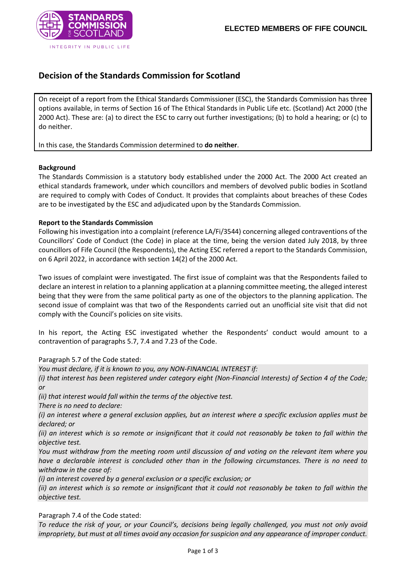

# **Decision of the Standards Commission for Scotland**

On receipt of a report from the Ethical Standards Commissioner (ESC), the Standards Commission has three options available, in terms of Section 16 of The Ethical Standards in Public Life etc. (Scotland) Act 2000 (the 2000 Act). These are: (a) to direct the ESC to carry out further investigations; (b) to hold a hearing; or (c) to do neither.

In this case, the Standards Commission determined to **do neither**.

## **Background**

The Standards Commission is a statutory body established under the 2000 Act. The 2000 Act created an ethical standards framework, under which councillors and members of devolved public bodies in Scotland are required to comply with Codes of Conduct. It provides that complaints about breaches of these Codes are to be investigated by the ESC and adjudicated upon by the Standards Commission.

## **Report to the Standards Commission**

Following his investigation into a complaint (reference LA/Fi/3544) concerning alleged contraventions of the Councillors' Code of Conduct (the Code) in place at the time, being the version dated July 2018, by three councillors of Fife Council (the Respondents), the Acting ESC referred a report to the Standards Commission, on 6 April 2022, in accordance with section 14(2) of the 2000 Act.

Two issues of complaint were investigated. The first issue of complaint was that the Respondents failed to declare an interest in relation to a planning application at a planning committee meeting, the alleged interest being that they were from the same political party as one of the objectors to the planning application. The second issue of complaint was that two of the Respondents carried out an unofficial site visit that did not comply with the Council's policies on site visits.

In his report, the Acting ESC investigated whether the Respondents' conduct would amount to a contravention of paragraphs 5.7, 7.4 and 7.23 of the Code.

Paragraph 5.7 of the Code stated:

*You must declare, if it is known to you, any NON-FINANCIAL INTEREST if:*

*(i) that interest has been registered under category eight (Non-Financial Interests) of Section 4 of the Code; or*

*(ii) that interest would fall within the terms of the objective test.*

*There is no need to declare:*

*(i) an interest where a general exclusion applies, but an interest where a specific exclusion applies must be declared; or*

*(ii) an interest which is so remote or insignificant that it could not reasonably be taken to fall within the objective test.*

*You must withdraw from the meeting room until discussion of and voting on the relevant item where you have a declarable interest is concluded other than in the following circumstances. There is no need to withdraw in the case of:*

*(i) an interest covered by a general exclusion or a specific exclusion; or*

*(ii) an interest which is so remote or insignificant that it could not reasonably be taken to fall within the objective test.*

Paragraph 7.4 of the Code stated:

*To reduce the risk of your, or your Council's, decisions being legally challenged, you must not only avoid impropriety, but must at all times avoid any occasion for suspicion and any appearance of improper conduct.*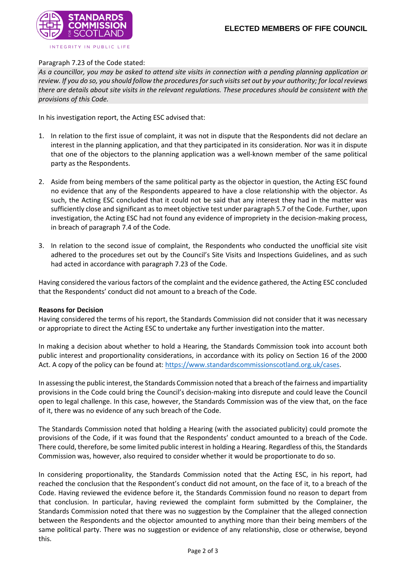

#### Paragraph 7.23 of the Code stated:

*As a councillor, you may be asked to attend site visits in connection with a pending planning application or review. If you do so, you should follow the procedures for such visits set out by your authority; for local reviews there are details about site visits in the relevant regulations. These procedures should be consistent with the provisions of this Code.*

In his investigation report, the Acting ESC advised that:

- 1. In relation to the first issue of complaint, it was not in dispute that the Respondents did not declare an interest in the planning application, and that they participated in its consideration. Nor was it in dispute that one of the objectors to the planning application was a well-known member of the same political party as the Respondents.
- 2. Aside from being members of the same political party as the objector in question, the Acting ESC found no evidence that any of the Respondents appeared to have a close relationship with the objector. As such, the Acting ESC concluded that it could not be said that any interest they had in the matter was sufficiently close and significant as to meet objective test under paragraph 5.7 of the Code. Further, upon investigation, the Acting ESC had not found any evidence of impropriety in the decision-making process, in breach of paragraph 7.4 of the Code.
- 3. In relation to the second issue of complaint, the Respondents who conducted the unofficial site visit adhered to the procedures set out by the Council's Site Visits and Inspections Guidelines, and as such had acted in accordance with paragraph 7.23 of the Code.

Having considered the various factors of the complaint and the evidence gathered, the Acting ESC concluded that the Respondents' conduct did not amount to a breach of the Code.

#### **Reasons for Decision**

Having considered the terms of his report, the Standards Commission did not consider that it was necessary or appropriate to direct the Acting ESC to undertake any further investigation into the matter.

In making a decision about whether to hold a Hearing, the Standards Commission took into account both public interest and proportionality considerations, in accordance with its policy on Section 16 of the 2000 Act. A copy of the policy can be found at: [https://www.standardscommissionscotland.org.uk/cases.](https://www.standardscommissionscotland.org.uk/cases)

In assessing the public interest, the Standards Commission noted that a breach of the fairness and impartiality provisions in the Code could bring the Council's decision-making into disrepute and could leave the Council open to legal challenge. In this case, however, the Standards Commission was of the view that, on the face of it, there was no evidence of any such breach of the Code.

The Standards Commission noted that holding a Hearing (with the associated publicity) could promote the provisions of the Code, if it was found that the Respondents' conduct amounted to a breach of the Code. There could, therefore, be some limited public interest in holding a Hearing. Regardless of this, the Standards Commission was, however, also required to consider whether it would be proportionate to do so.

In considering proportionality, the Standards Commission noted that the Acting ESC, in his report, had reached the conclusion that the Respondent's conduct did not amount, on the face of it, to a breach of the Code. Having reviewed the evidence before it, the Standards Commission found no reason to depart from that conclusion. In particular, having reviewed the complaint form submitted by the Complainer, the Standards Commission noted that there was no suggestion by the Complainer that the alleged connection between the Respondents and the objector amounted to anything more than their being members of the same political party. There was no suggestion or evidence of any relationship, close or otherwise, beyond this.